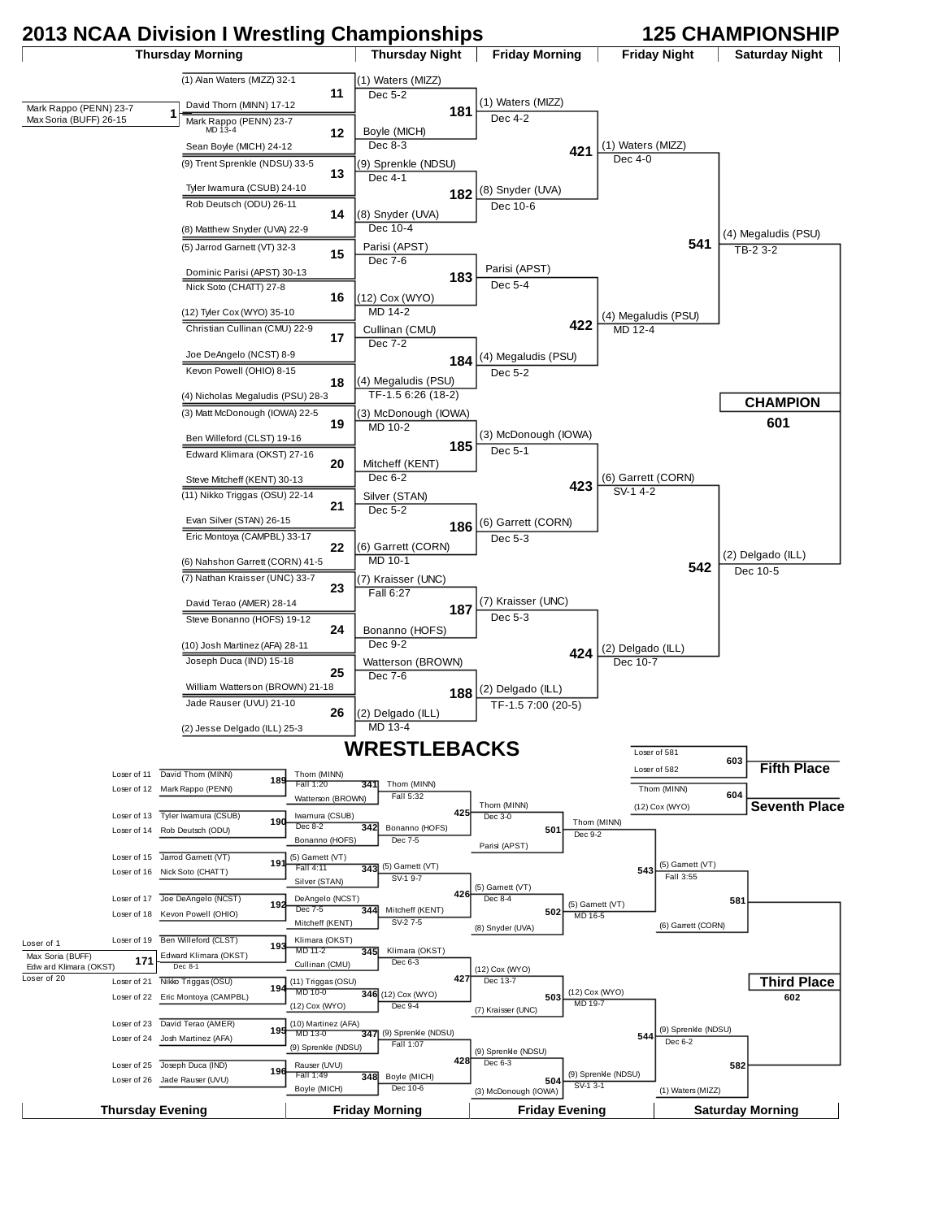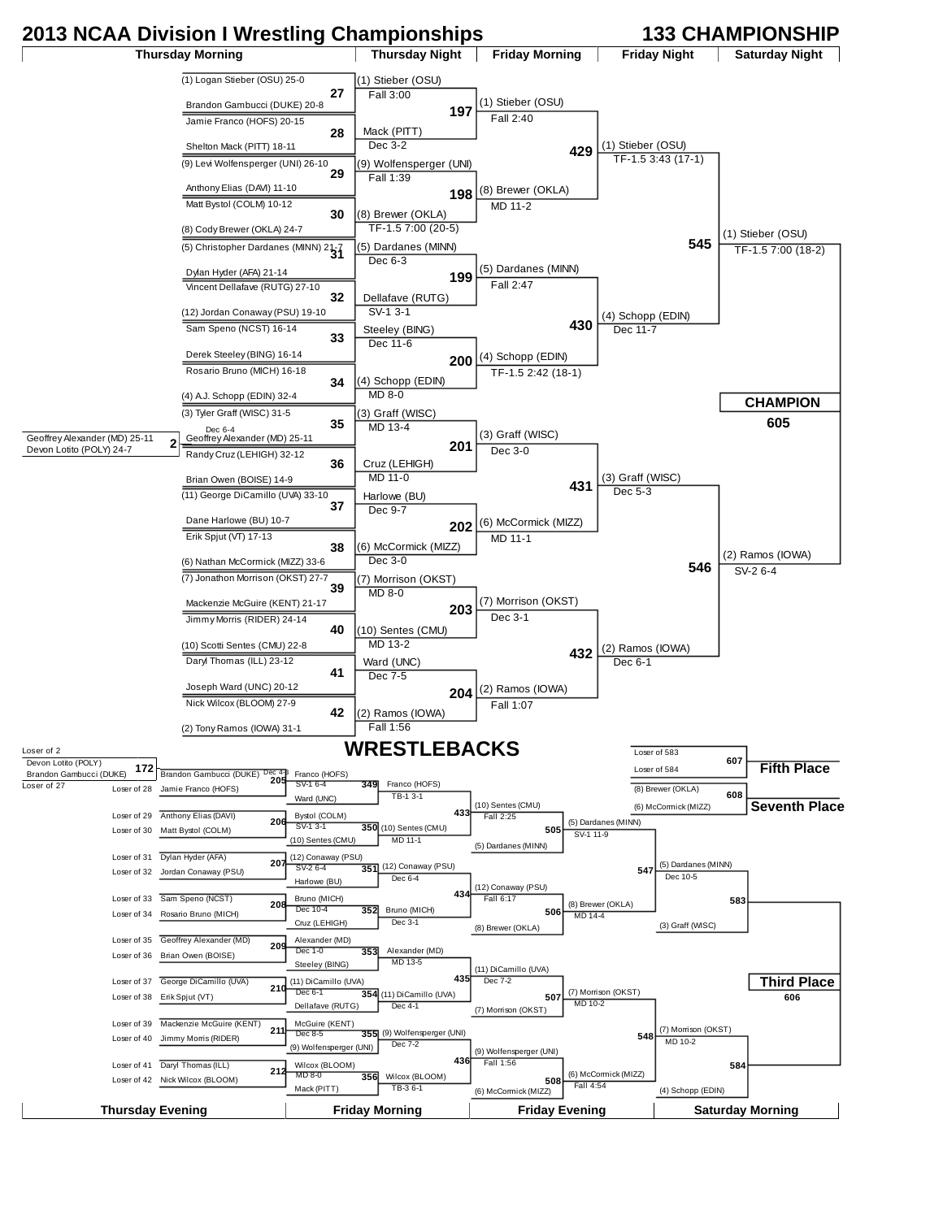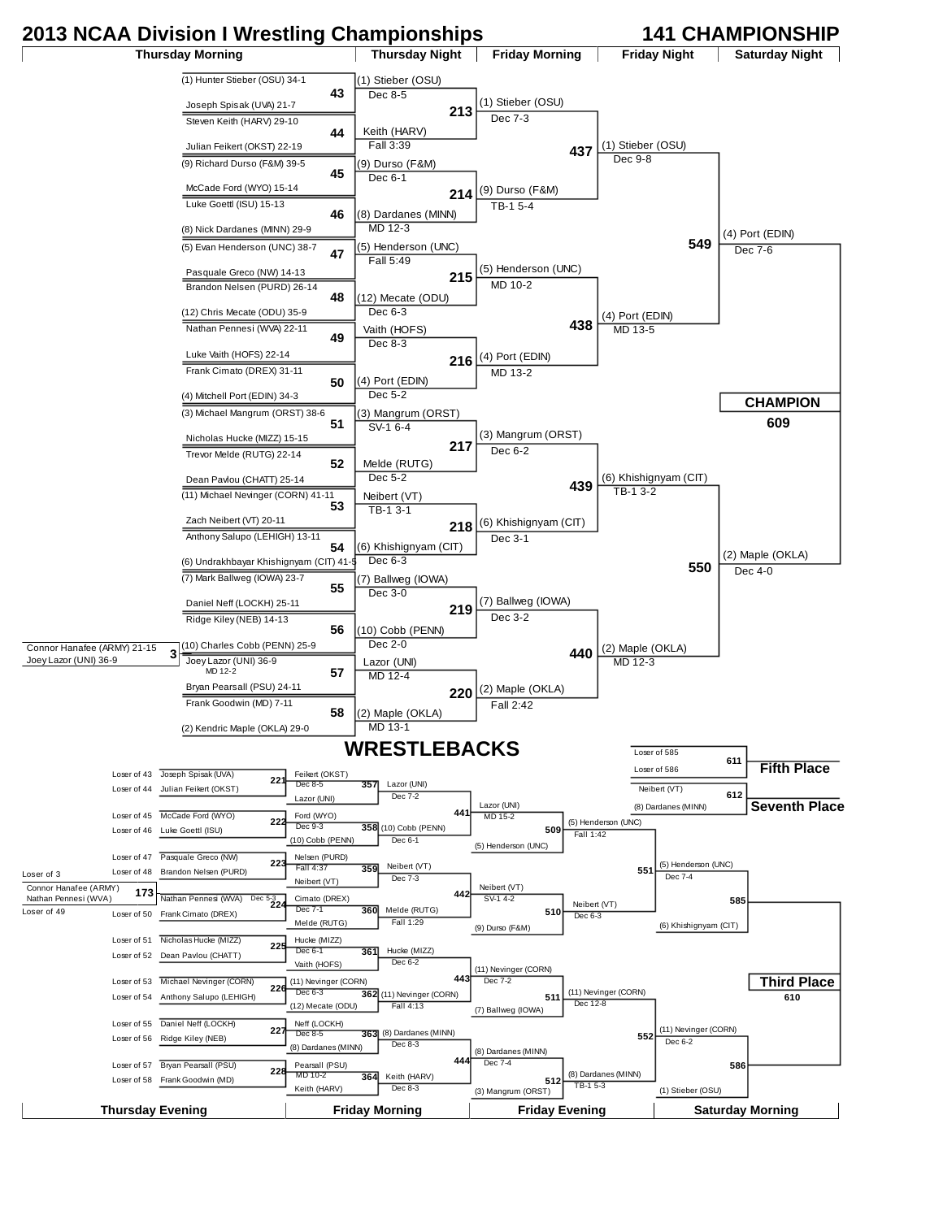## **2013 NCAA Division I Wrestling Championships 141 CHAMPIONSHIP**

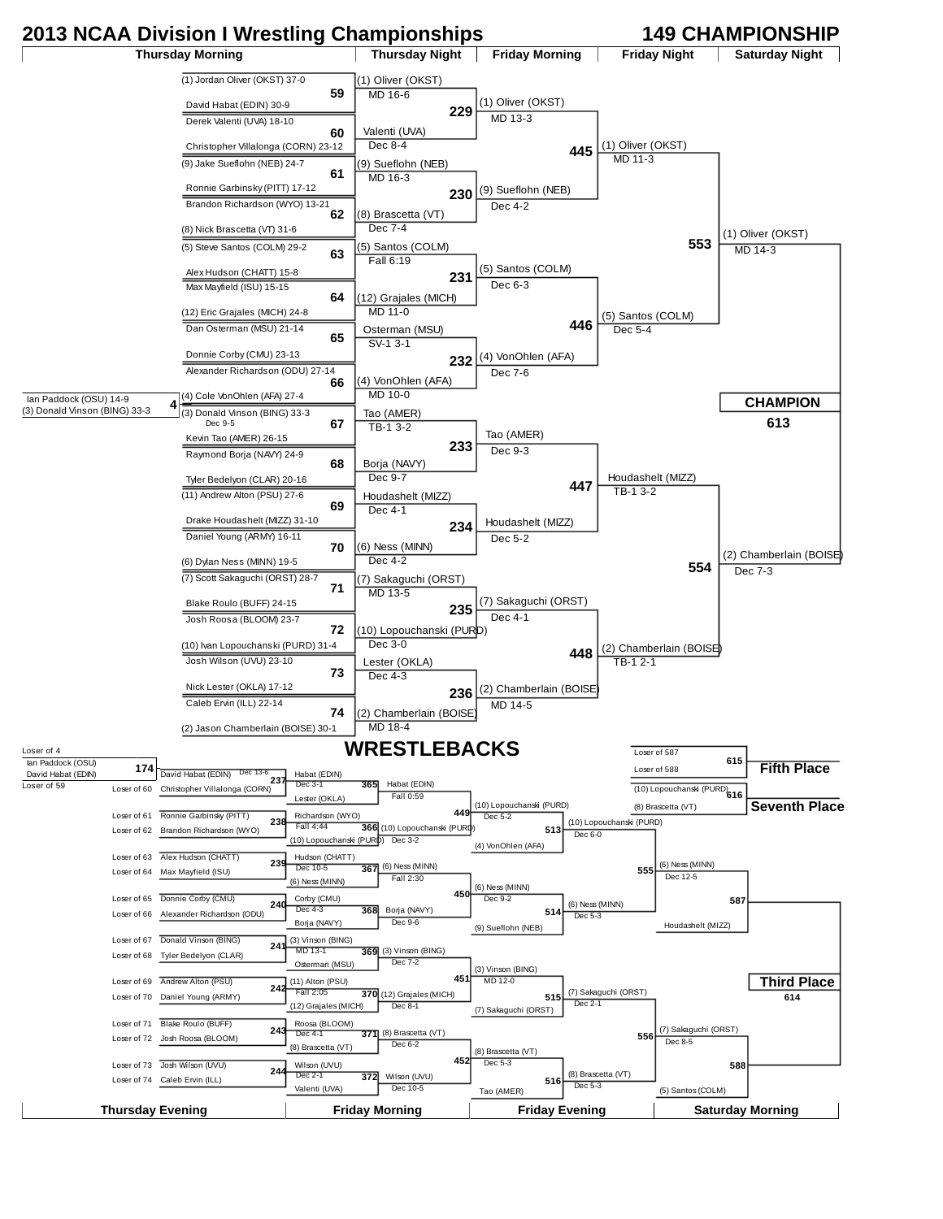## **2013 NCAA Division I Wrestling Championships 149 CHAMPIONSHIP**

Thursday Morning **Thursday Night | Friday Morning | Friday Night | Saturday Night** 

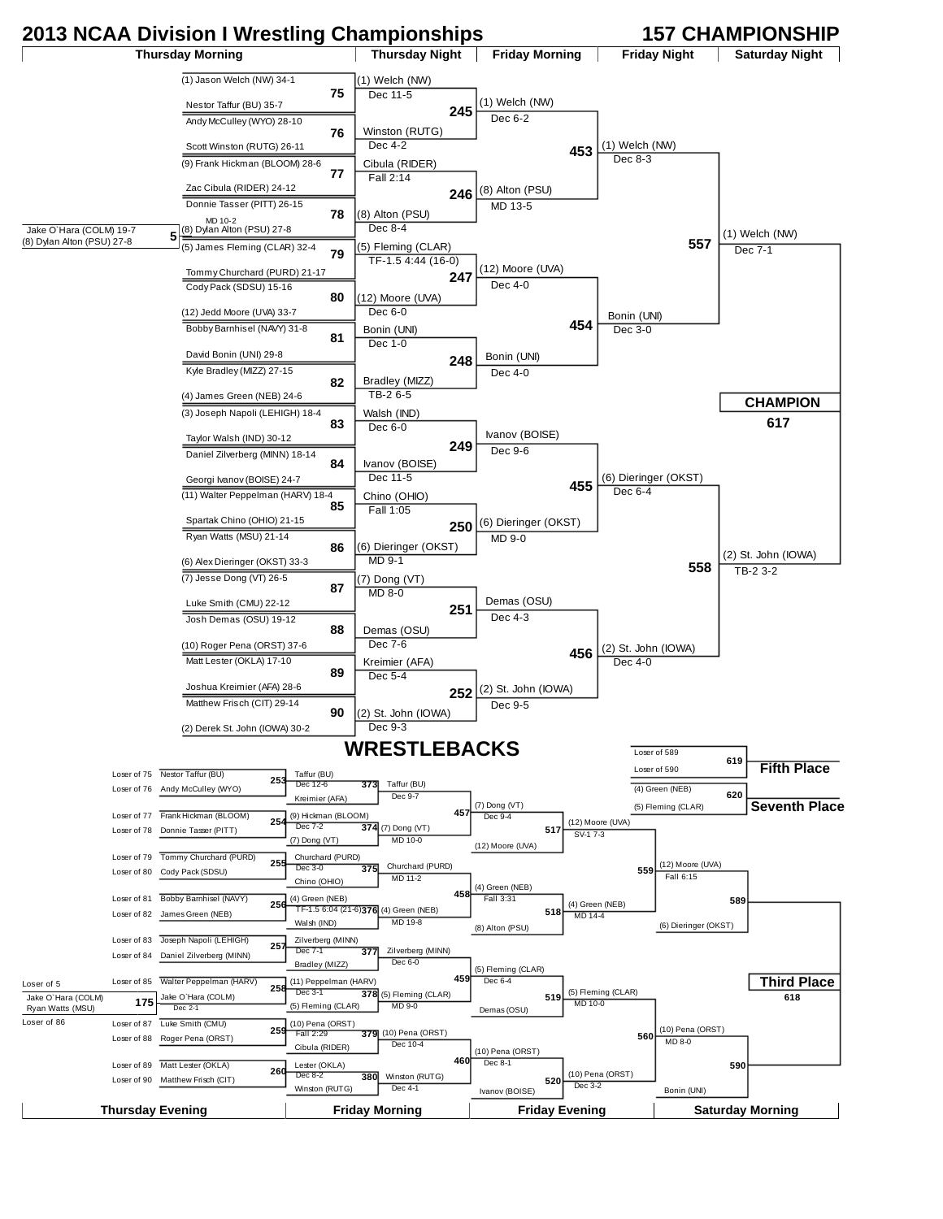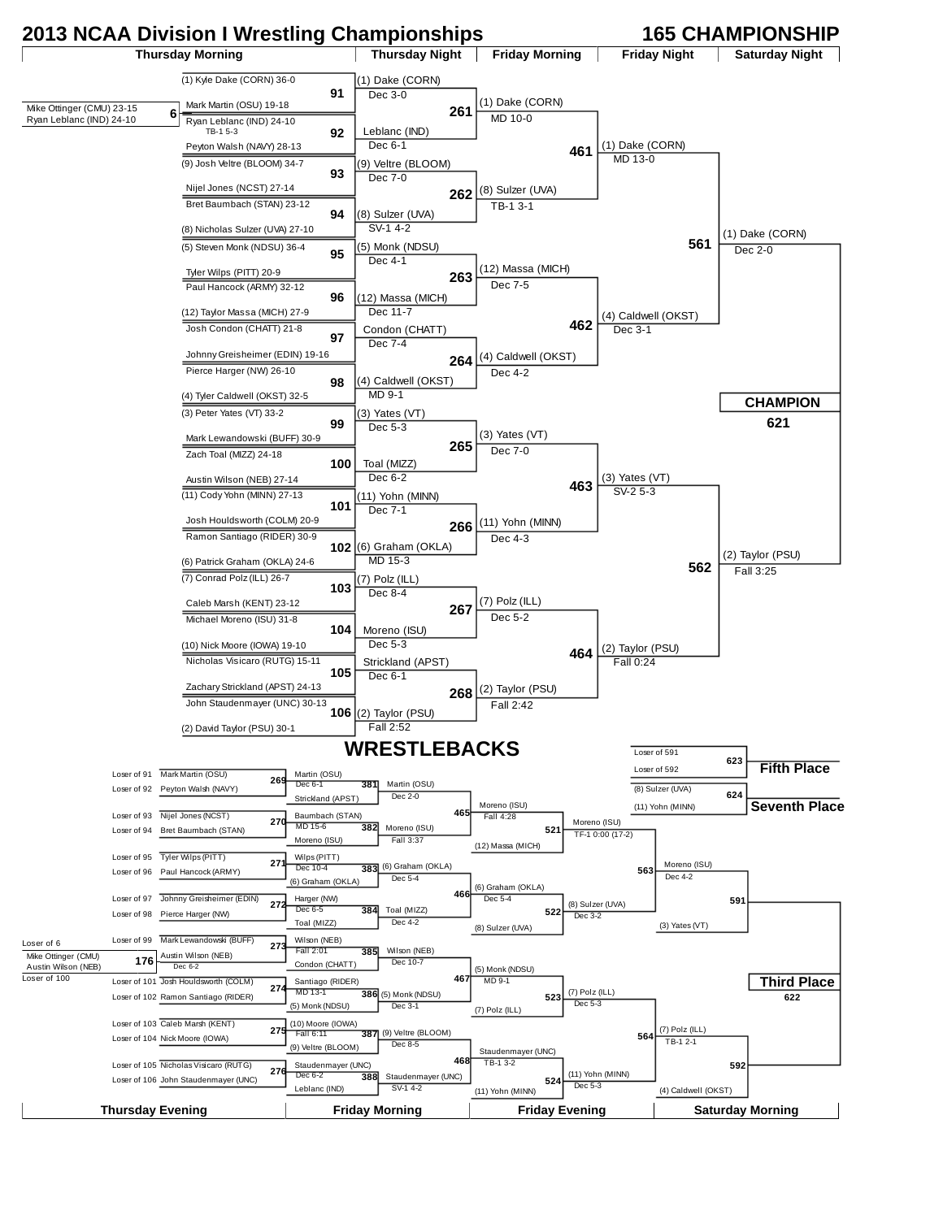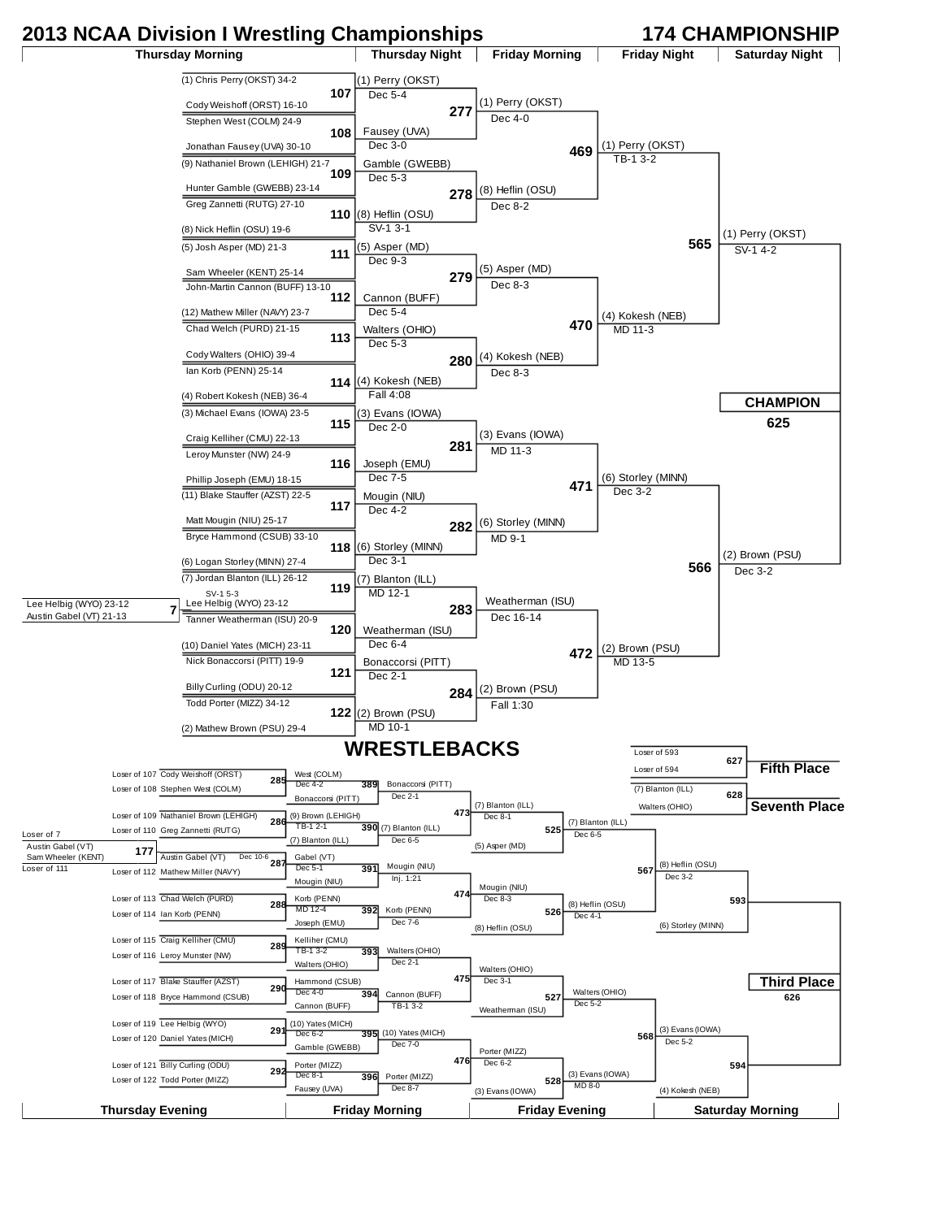## **2013 NCAA Division I Wrestling Championships 174 CHAMPIONSHIP**

Loser of 122 Todd Porter (MIZZ)

Fausey (UVA)

Dec 8-7

**Thursday Evening Friday Morning Friday Evening Saturday Morning**

**528**

MD 8-0

(4) Kokesh (NEB)

(3) Evans (IOWA)

Thursday Morning **Thursday Night | Friday Morning | Friday Night | Saturday Night** (1) Chris Perry (OKST) 34-2 **107** Cody Weishoff (ORST) 16-10 Stephen West (COLM) 24-9 **108** Jonathan Fausey (UVA) 30-10 (9) Nathaniel Brown (LEHIGH) 21-7 **109** Hunter Gamble (GWEBB) 23-14 Greg Zannetti (RUTG) 27-10 **110** (8) Nick Heflin (OSU) 19-6 (5) Josh Asper (MD) 21-3 **<sup>111</sup>** Sam Wheeler (KENT) 25-14 John-Martin Cannon (BUFF) 13-10 **112** (12) Mathew Miller (NAVY) 23-7 Chad Welch (PURD) 21-15 **113** Cody Walters (OHIO) 39-4 Ian Korb (PENN) 25-14 **114** (4) Robert Kokesh (NEB) 36-4 (3) Michael Evans (IOWA) 23-5 **115** Craig Kelliher (CMU) 22-13 Leroy Munster (NW) 24-9 **116** Phillip Joseph (EMU) 18-15 (11) Blake Stauffer (AZST) 22-5 **117** Matt Mougin (NIU) 25-17 Bryce Hammond (CSUB) 33-10 **118** (6) Logan Storley (MINN) 27-4 (7) Jordan Blanton (ILL) 26-12 **119** Lee Helbig (WYO) 23-12 Tanner Weatherman (ISU) 20-9 **120** (10) Daniel Yates (MICH) 23-11 Nick Bonaccorsi (PITT) 19-9 **121** Billy Curling (ODU) 20-12 Todd Porter (MIZZ) 34-12 **122** (2) Mathew Brown (PSU) 29-4 (1) Perry (OKST) Dec 5-4 **277** Fausey (UVA) Dec 3-0 Gamble (GWEBB) Dec 5-3 **278** (8) Heflin (OSU) SV-1 3-1 (5) Asper (MD) Dec 9-3 **279** Cannon (BUFF) Dec 5-4 Walters (OHIO) Dec 5-3 **280** (4) Kokesh (NEB) Fall 4:08 (3) Evans (IOWA) Dec 2-0 **281** Joseph (EMU) Dec 7-5 Mougin (NIU) Dec 4-2 **282** (6) Storley (MINN) Dec 3-1 (7) Blanton (ILL) MD 12-1 **283** Weatherman (ISU) Dec 6-4 Bonaccorsi (PITT) Dec 2-1 **284** (2) Brown (PSU) MD 10-1 (1) Perry (OKST) Dec 4-0 **469** (8) Heflin (OSU) Dec 8-2 (5) Asper (MD) Dec 8-3 **470** (4) Kokesh (NEB) Dec 8-3 (3) Evans (IOWA) MD 11-3 **471** (6) Storley (MINN) MD 9-1 Weatherman (ISU) Dec 16-14 **472** (2) Brown (PSU)  $Fall 1:30$ (1) Perry (OKST)  $T_{B-1}$  3-2 **565** (4) Kokesh (NEB)  $M$ D 11-3 (6) Storley (MINN) Dec 3-2 **566** (2) Brown (PSU) MD 13-5 (1) Perry (OKST)  $S<sub>V-1</sub>$  4-2 **625** (2) Brown (PSU) Dec 3-2 Cody Weishoff (ORST) **<sup>285</sup>** Loser of 107 Loser of 108 Stephen West (COLM) Loser of 109 Nathaniel Brown (LEHIGH) **286** Loser of 110 Greg Zannetti (RUTG) Austin Gabel (VT) **<sup>287</sup>** Dec 10-6 Loser of 112 Mathew Miller (NAVY) Loser of 113 Chad Welch (PURD) **288** Loser of 114 Ian Korb (PENN) Craig Kelliher (CMU) **<sup>289</sup>** Loser of 115 Loser of 116 Leroy Munster (NW) Blake Stauffer (AZST) **<sup>290</sup>** Loser of 117 Loser of 118 Bryce Hammond (CSUB) Loser of 119 Lee Helbig (WYO) **291**<br>Loser of 120 Daniel Yates (MICH) **291** Loser of 119 Lee Helbig (WYO) Billy Curling (ODU) **<sup>292</sup>** Loser of 121 West (COLM) Dec 4-2 Bonaccorsi (PITT) (9) Brown (LEHIGH) TB-1 2-1 **390** (7) Blanton (ILL) Gabel (VT) Dec 5-1 **391** Mougin (NIU) Mougin (NIU) Korb (PENN) MD 12-4 **392** Joseph (EMU) Kelliher (CMU) TB-1 3-2 **393** Walters (OHIO) Hammond (CSUB) Dec 4-0 **394** Cannon (BUFF) (10) Yates (MICH) Dec 6-2 Gamble (GWEBB) Porter (MIZZ) Dec 8-1 **396** 389 Bonaccorsi (PITT) Dec 2-1 **473**  $\overline{390}$  (7) Blanton (ILL) Dec 6-5 Inj. 1:21 **474** Korb (PENN)  $Dec 7-$  Walters (OHIO) Dec 2-1 **475** Cannon (BUFF) TB-1 3-2 395| (10) Yates (MICH) Dec 7-0 **476** Porter (MIZZ) (7) Blanton (ILL) Dec 8-1 **525** (5) Asper (MD) Mougin (NIU) Dec 8-3 **526** (8) Heflin (OSU) Walters (OHIO) Dec 3-1 **527** Weatherman (ISU) Porter (MIZZ) Dec 6-2 (7) Blanton (ILL) Dec 6-5 **567** (8) Heflin (OSU) Dec 4-1 Walters (OHIO) Dec 5-2 **568** (3) Evans (IOWA) (8) Heflin (OSU) Dec 3-2 **593** (6) Storley (MINN) (3) Evans (IOWA) Dec 5-2 **594 626** Loser of 593 **627** Loser of 594 (7) Blanton (ILL) **<sup>628</sup>** Walters (OHIO) **WRESTLEBACKS CHAMPION Third Place Fifth Place Seventh Place** Lee Helbig (WYO) 23-12 Austin Gabel (VT) 21-13 **7** Austin Gabel (VT) Austin Gabel (V<sub>I)</sub> 177<br>Sam Wheeler (KENT) 177 Loser of 7 SV-1 5-3 Loser of 111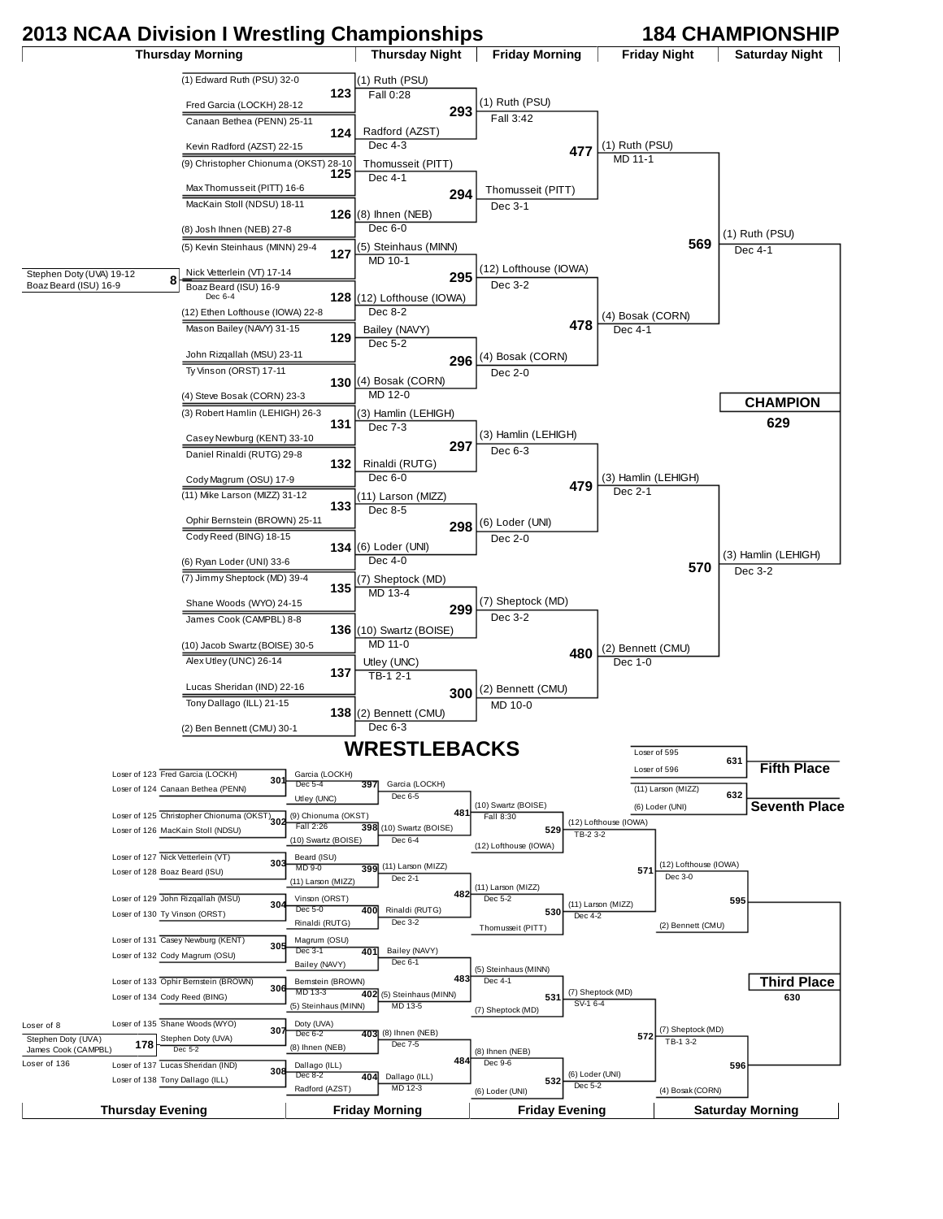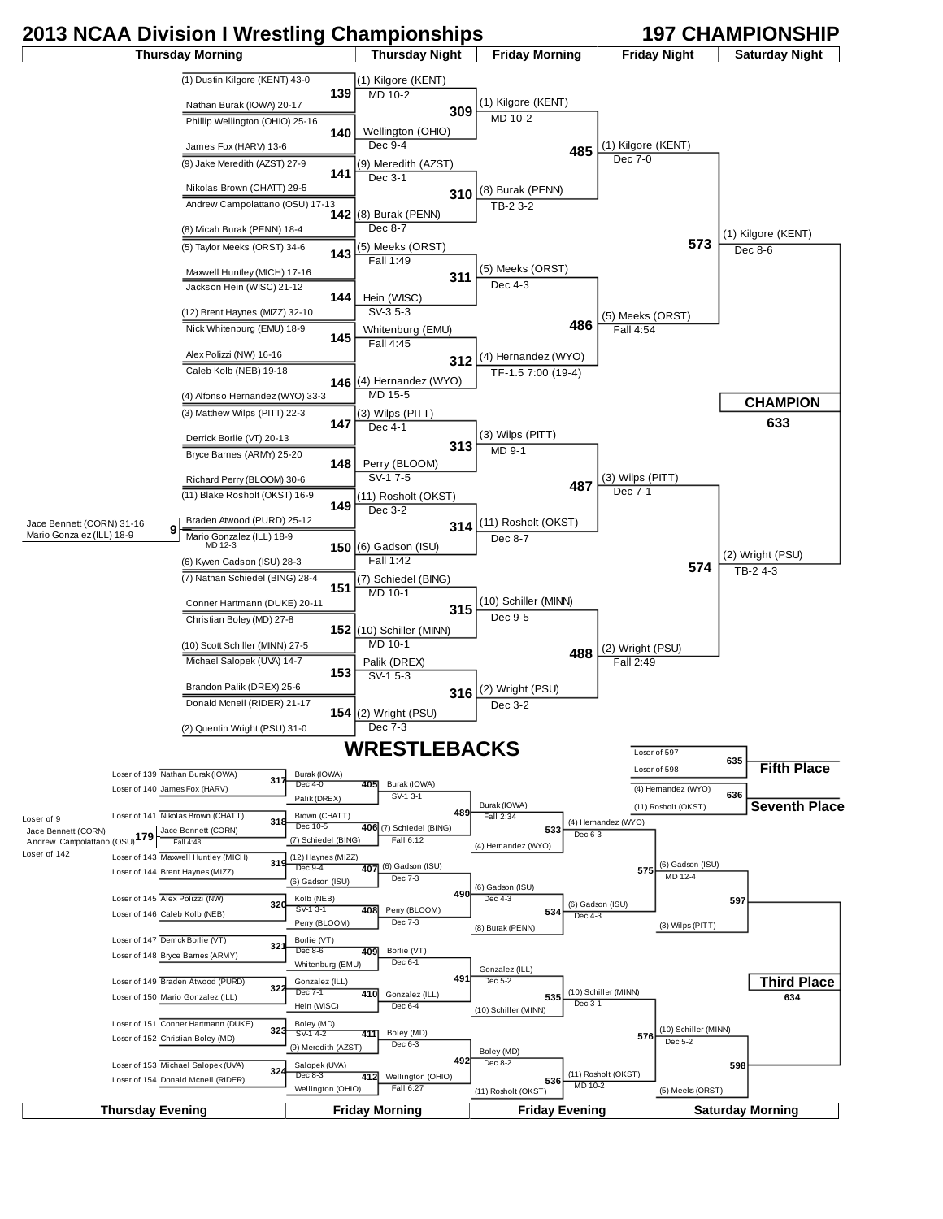